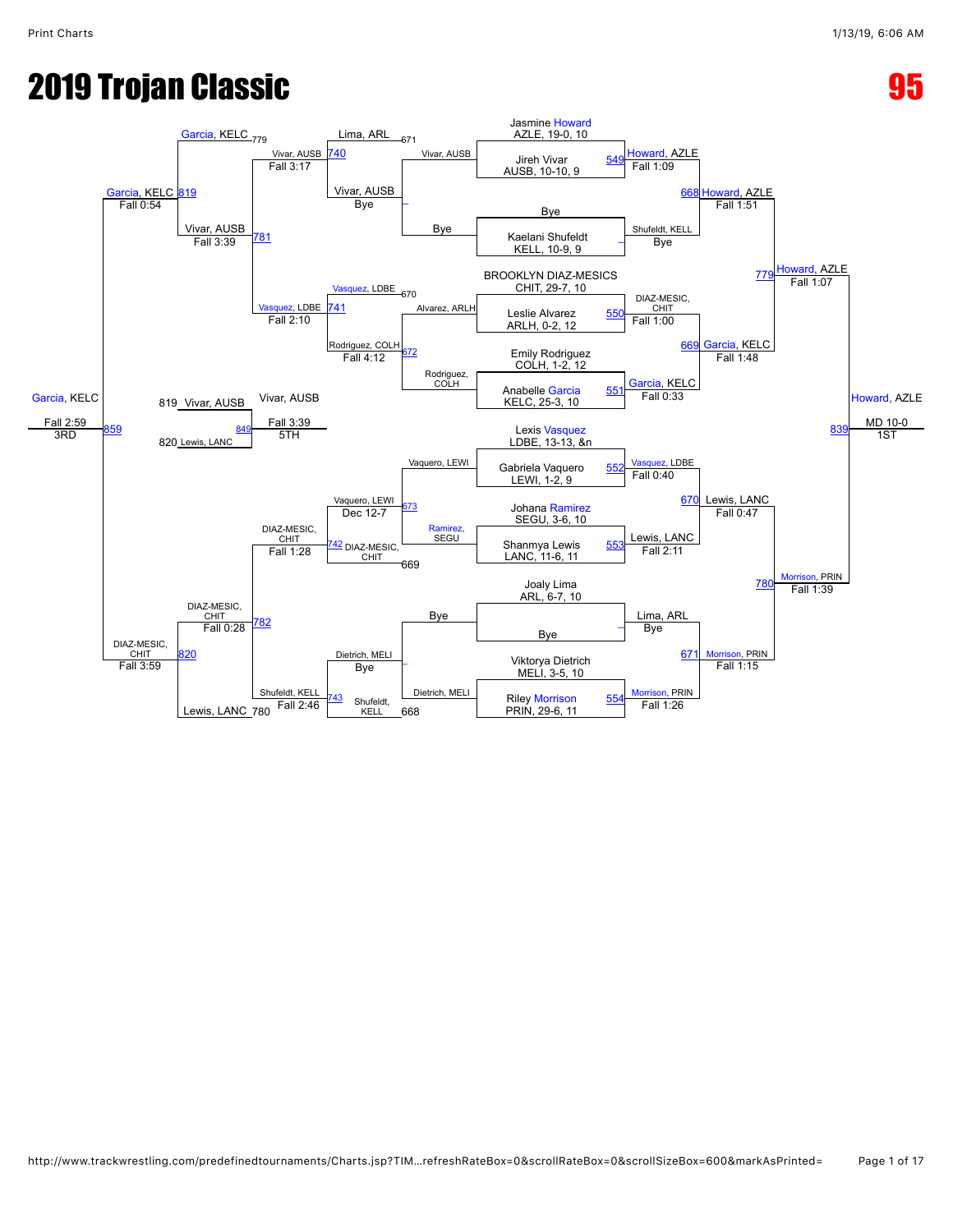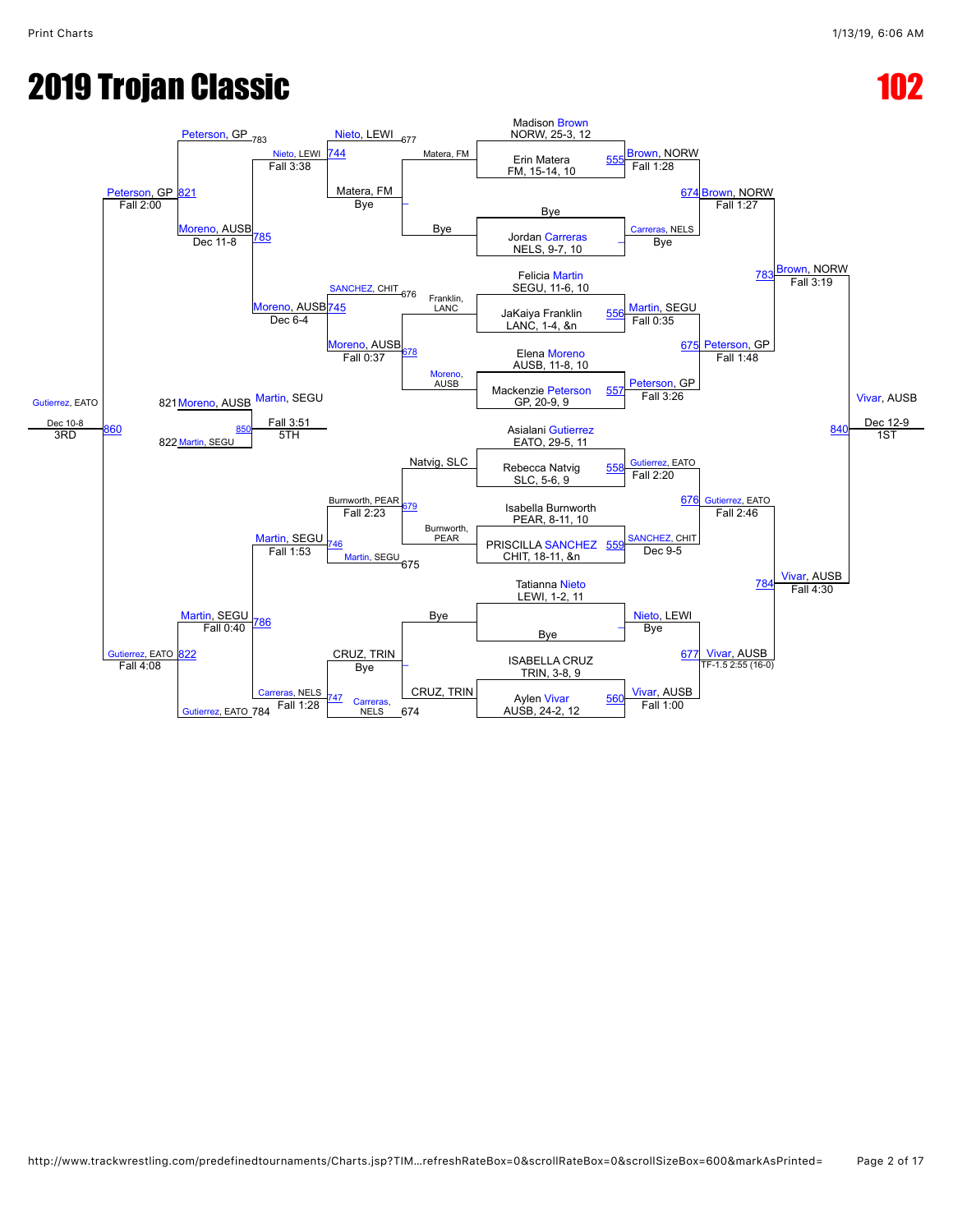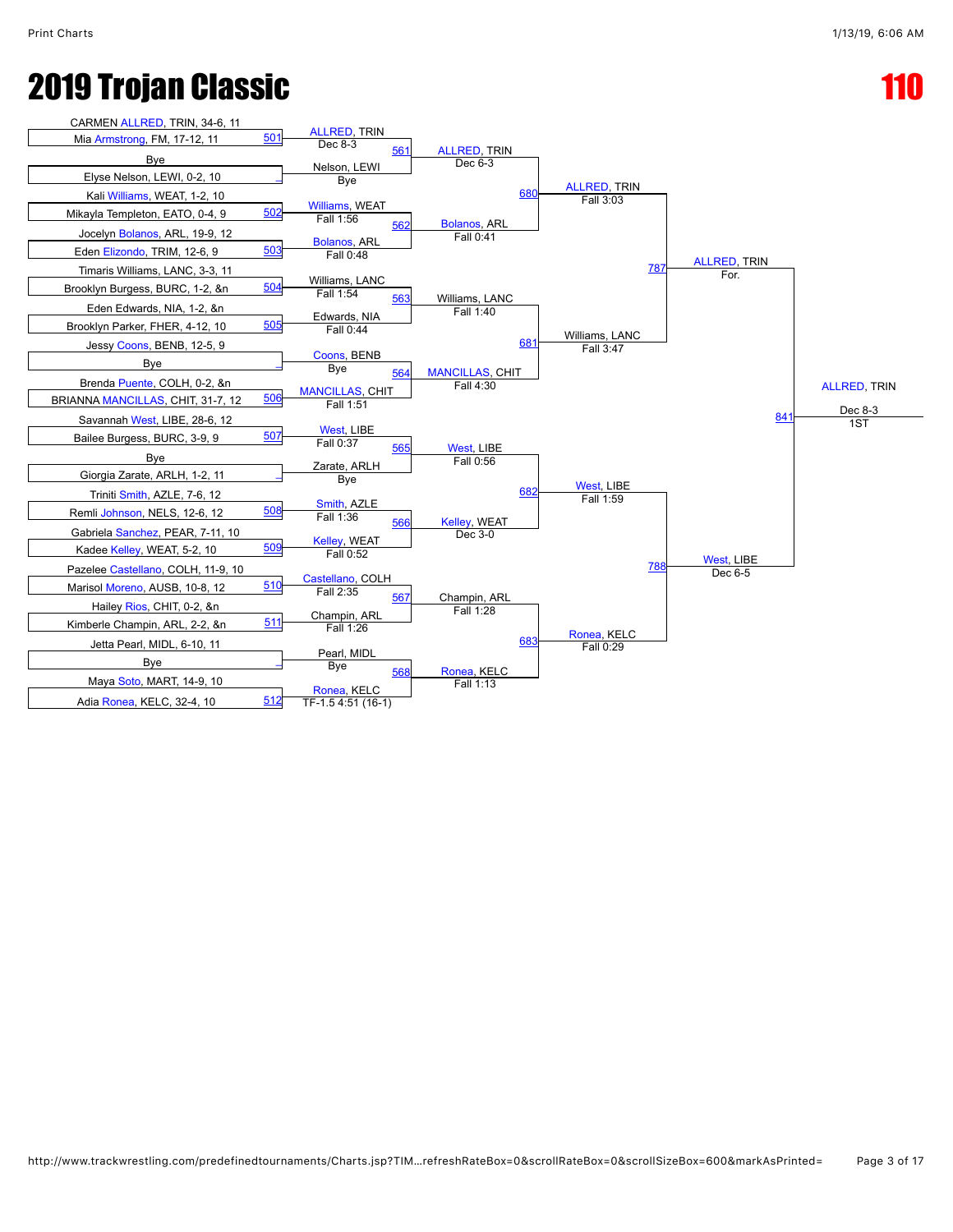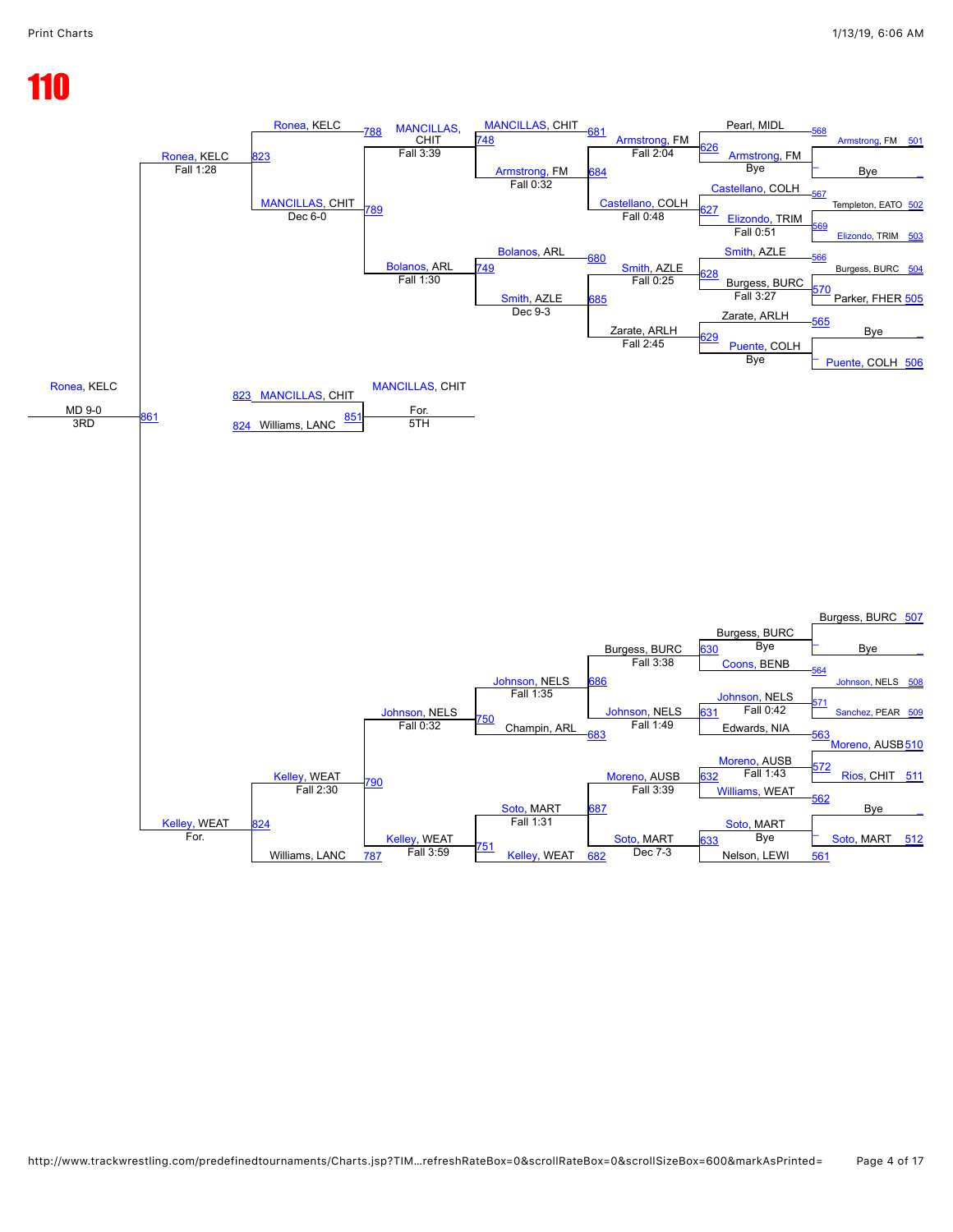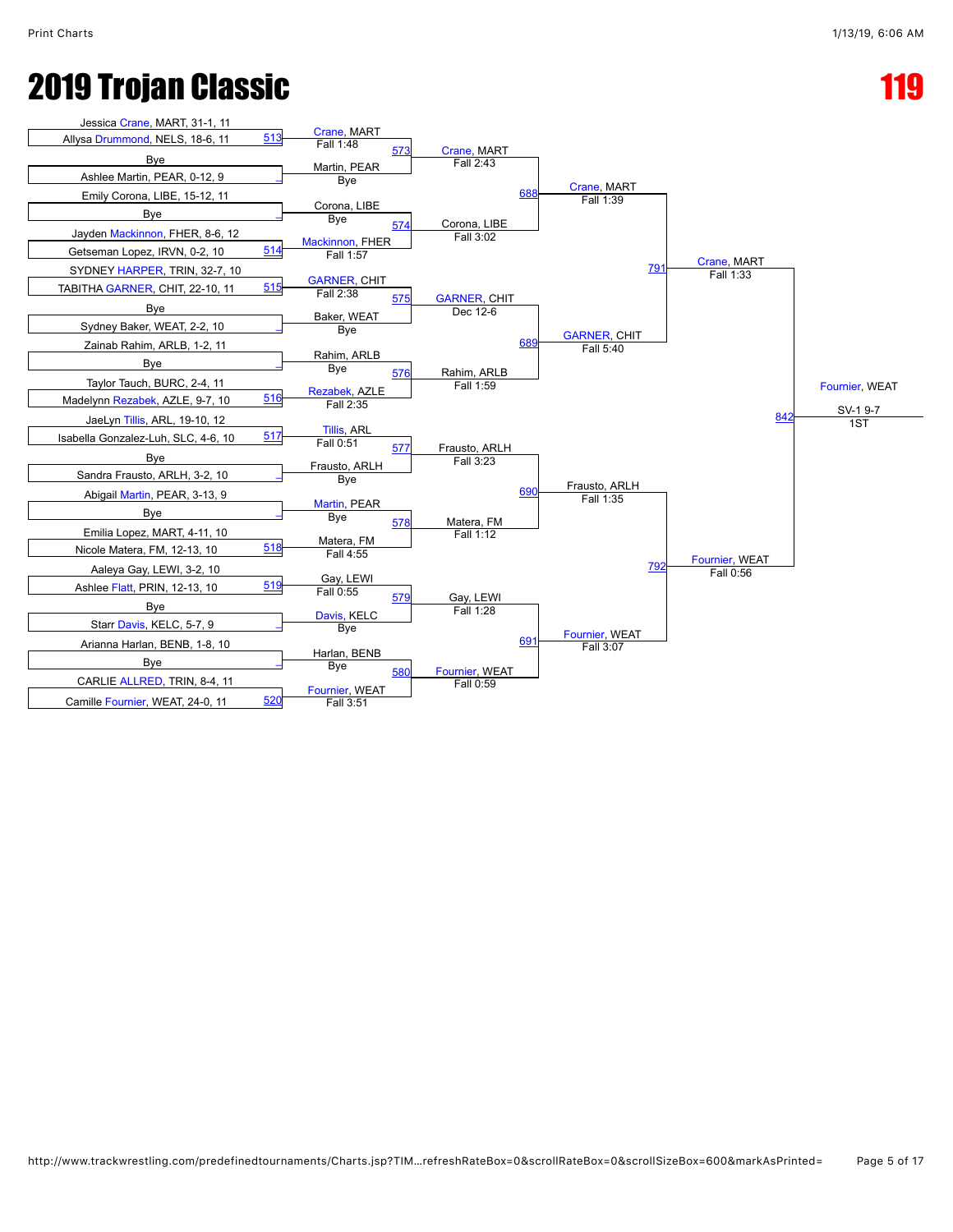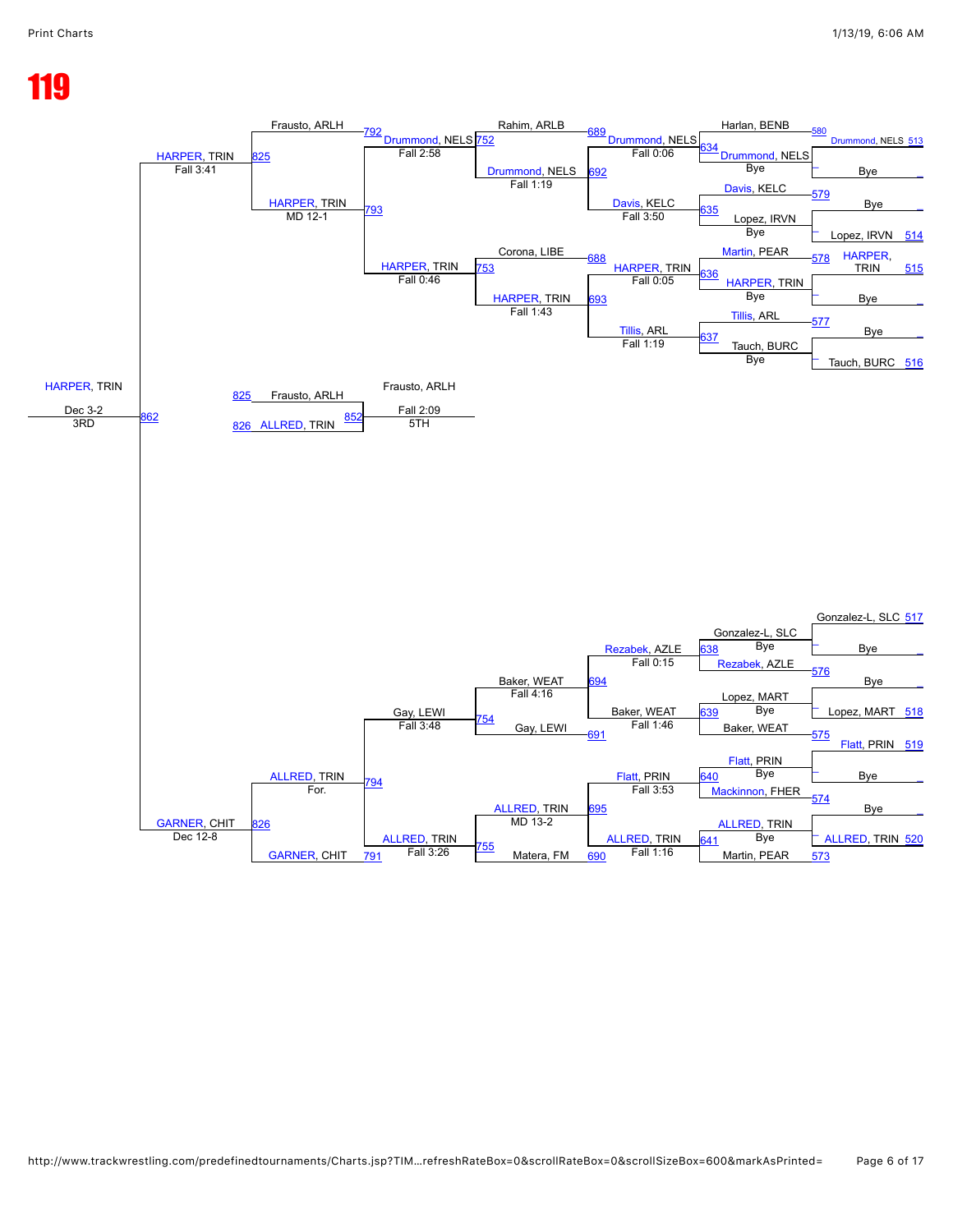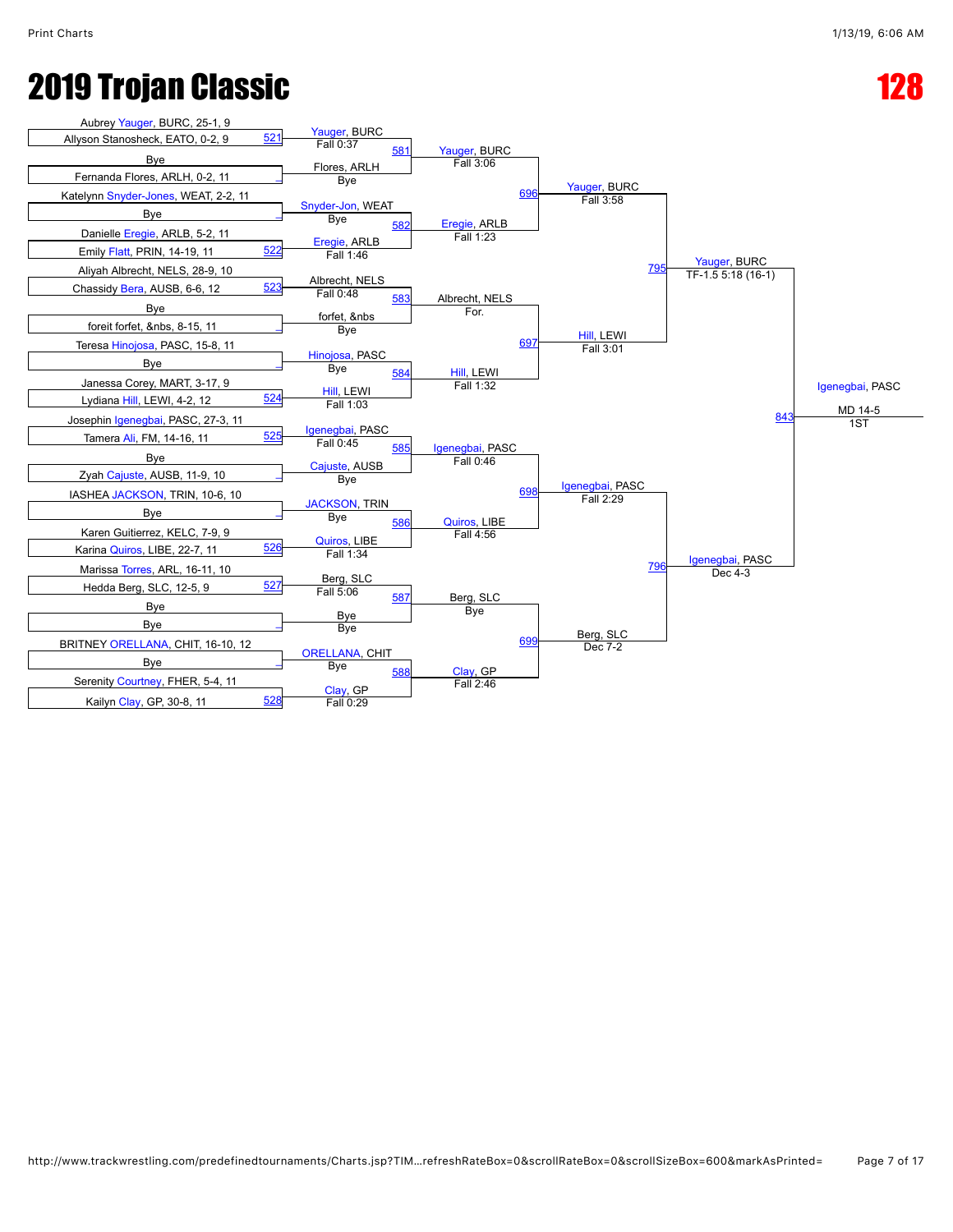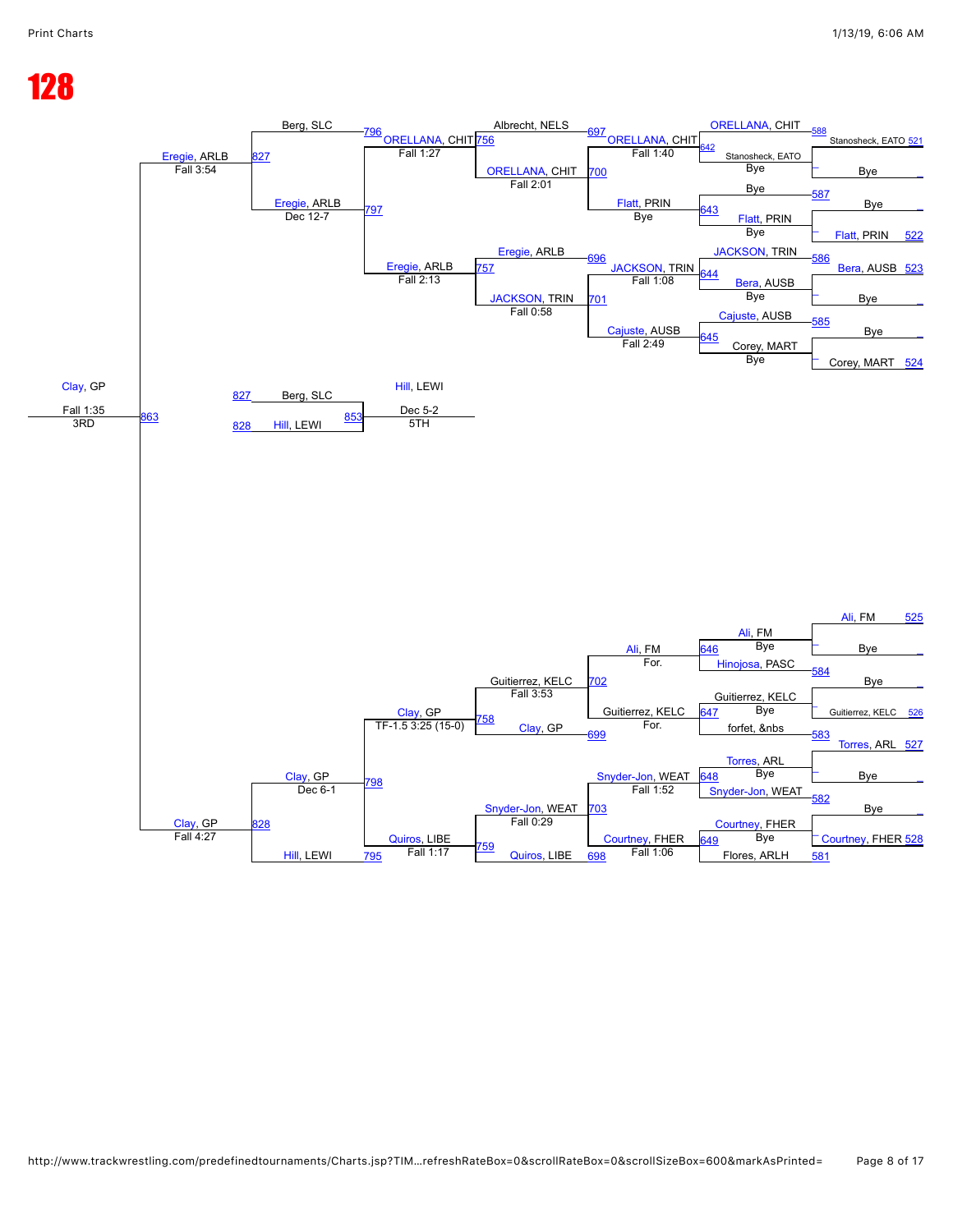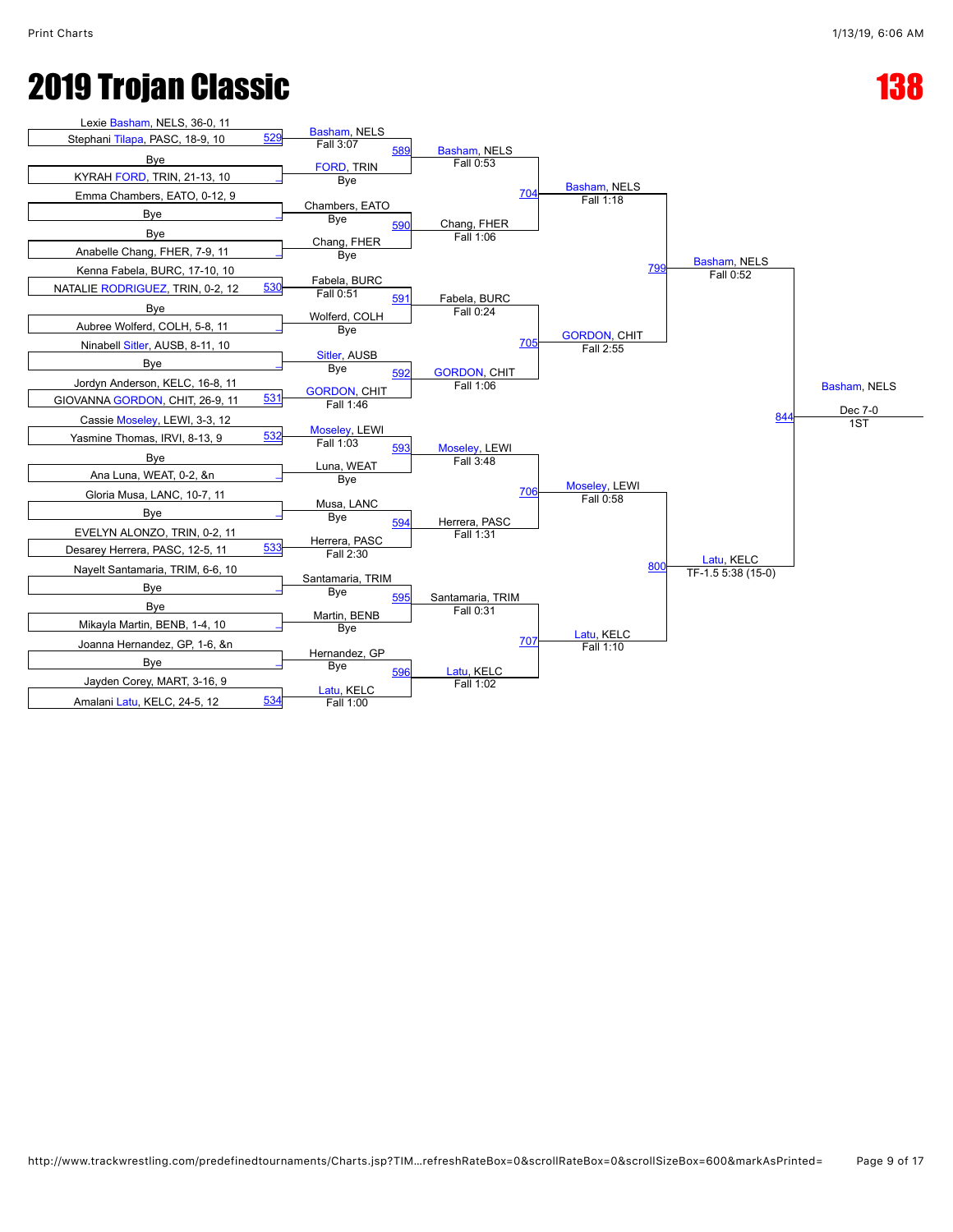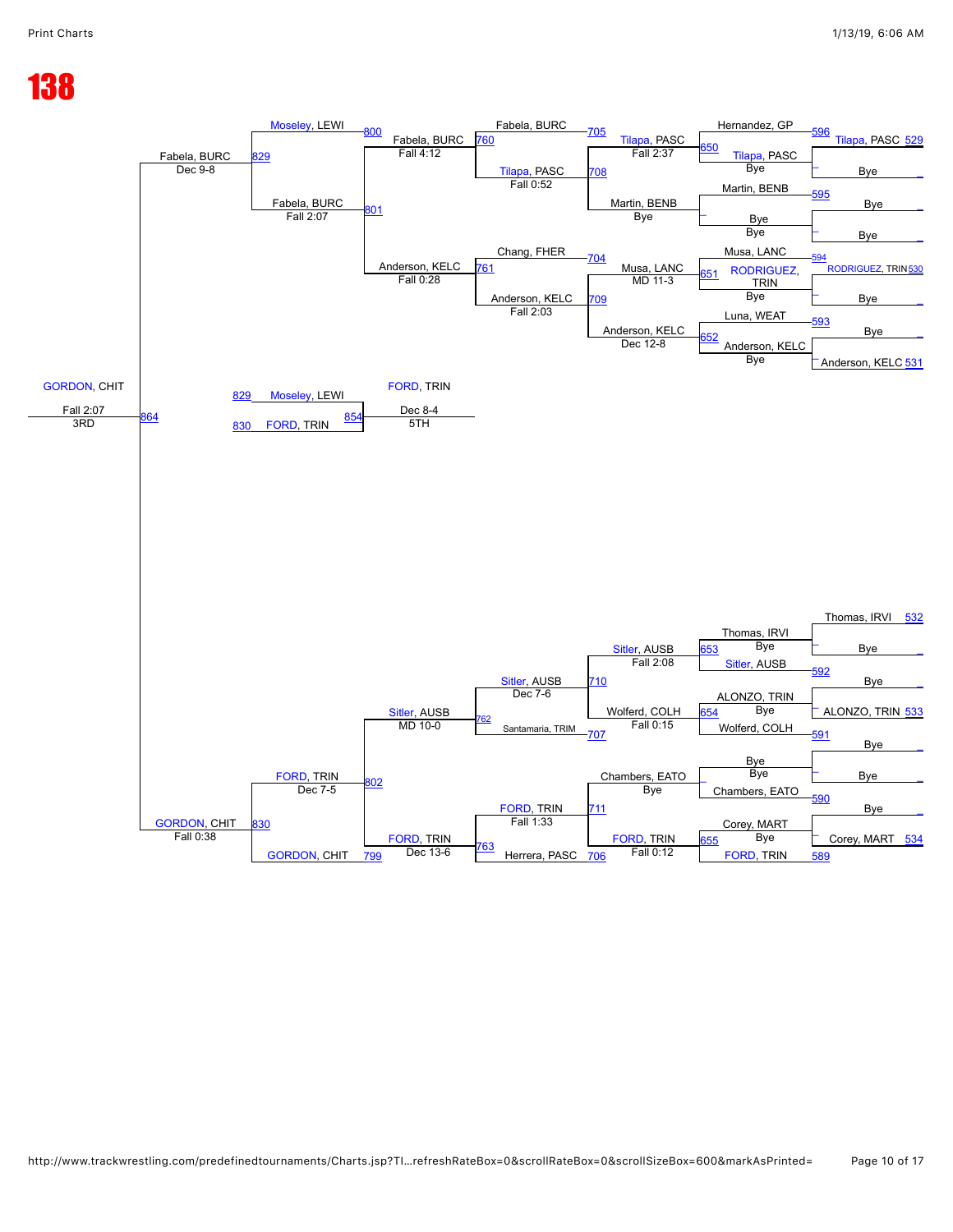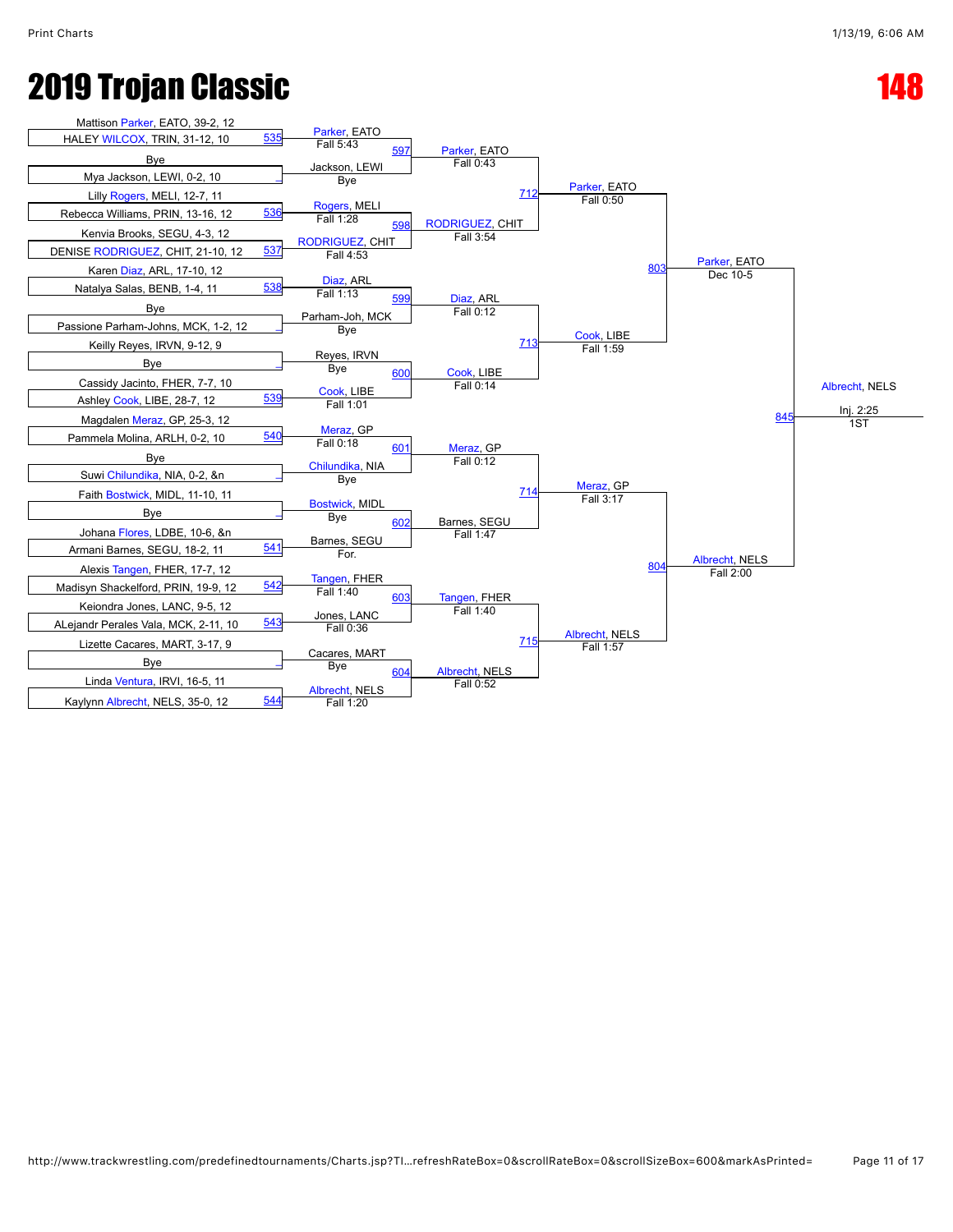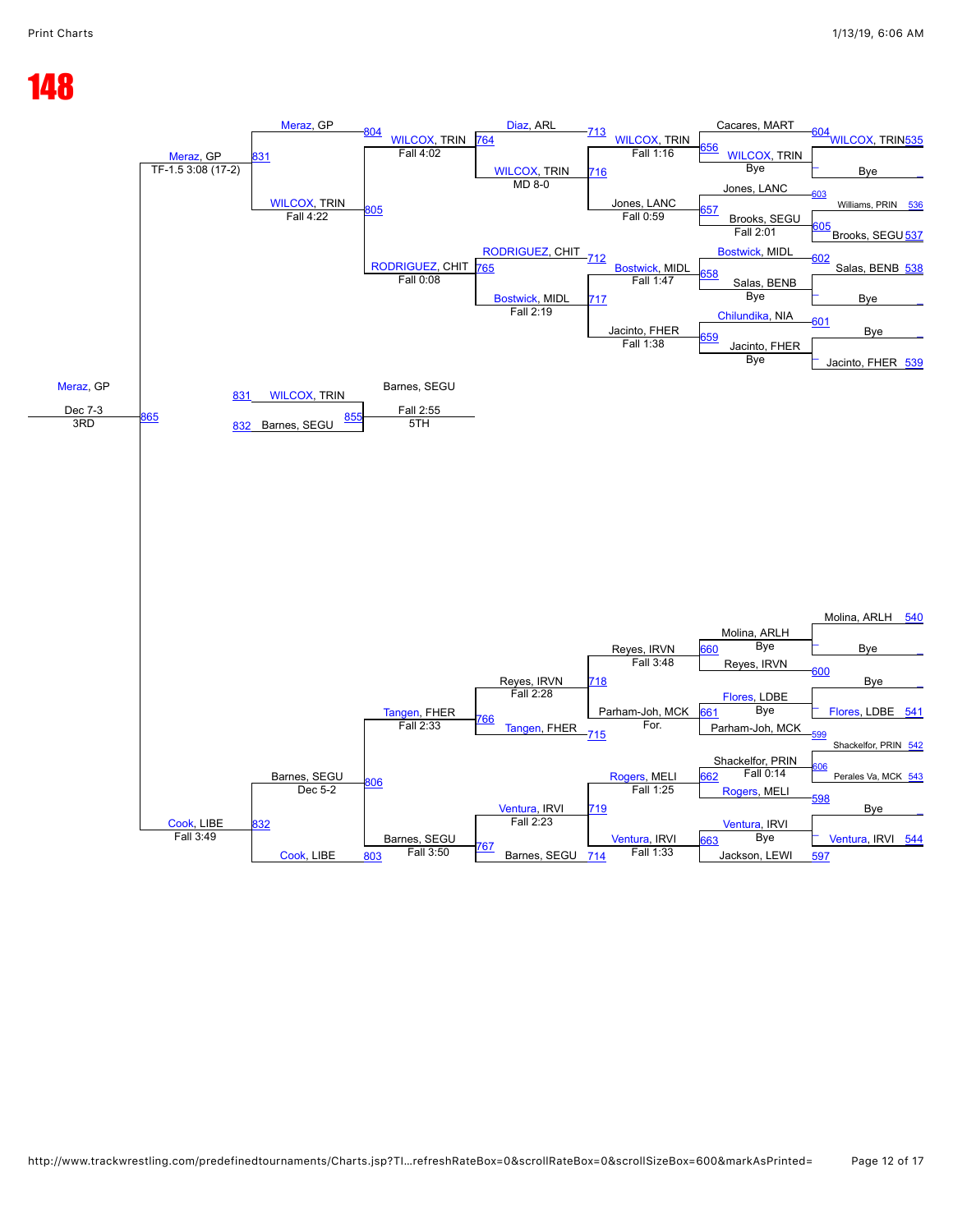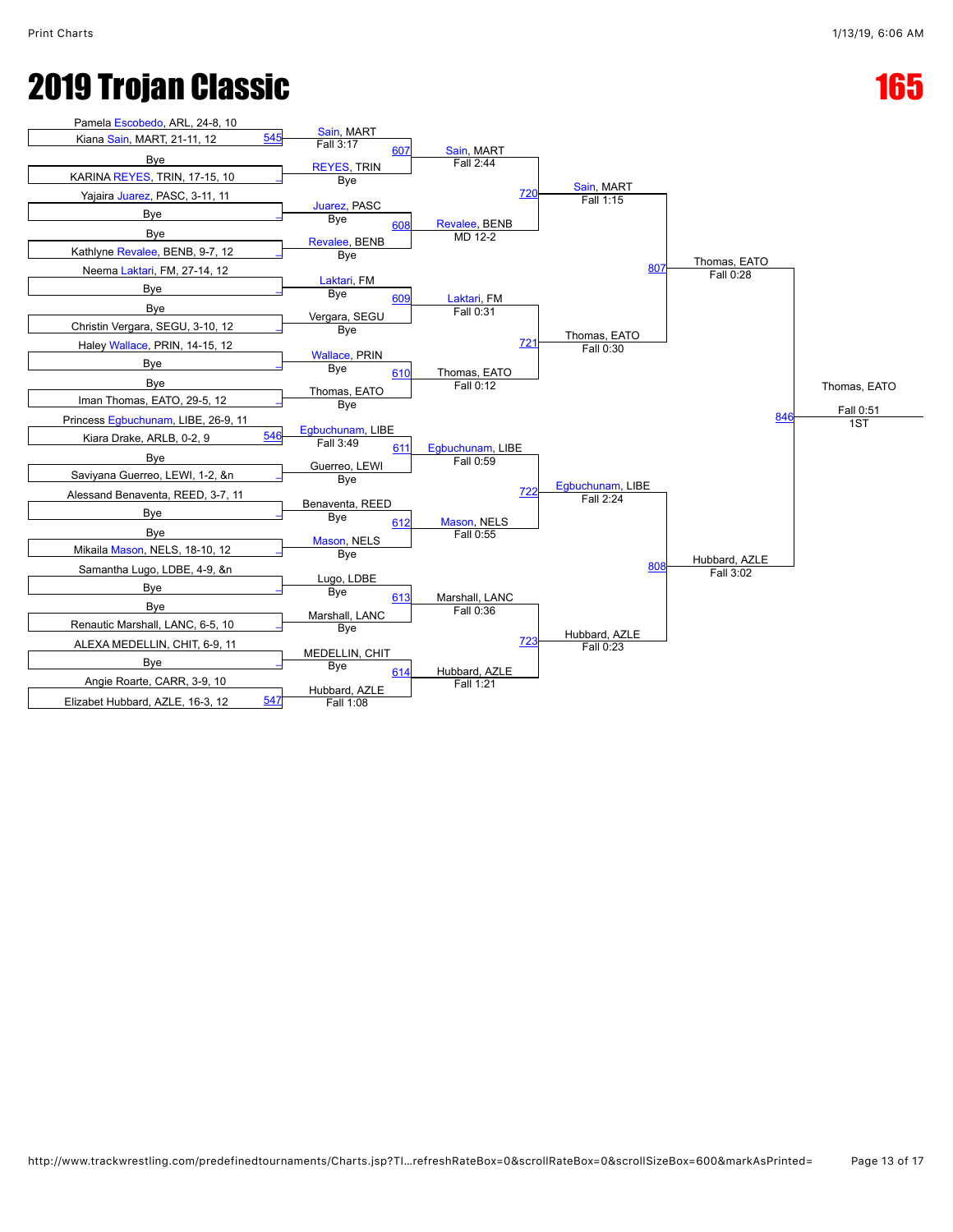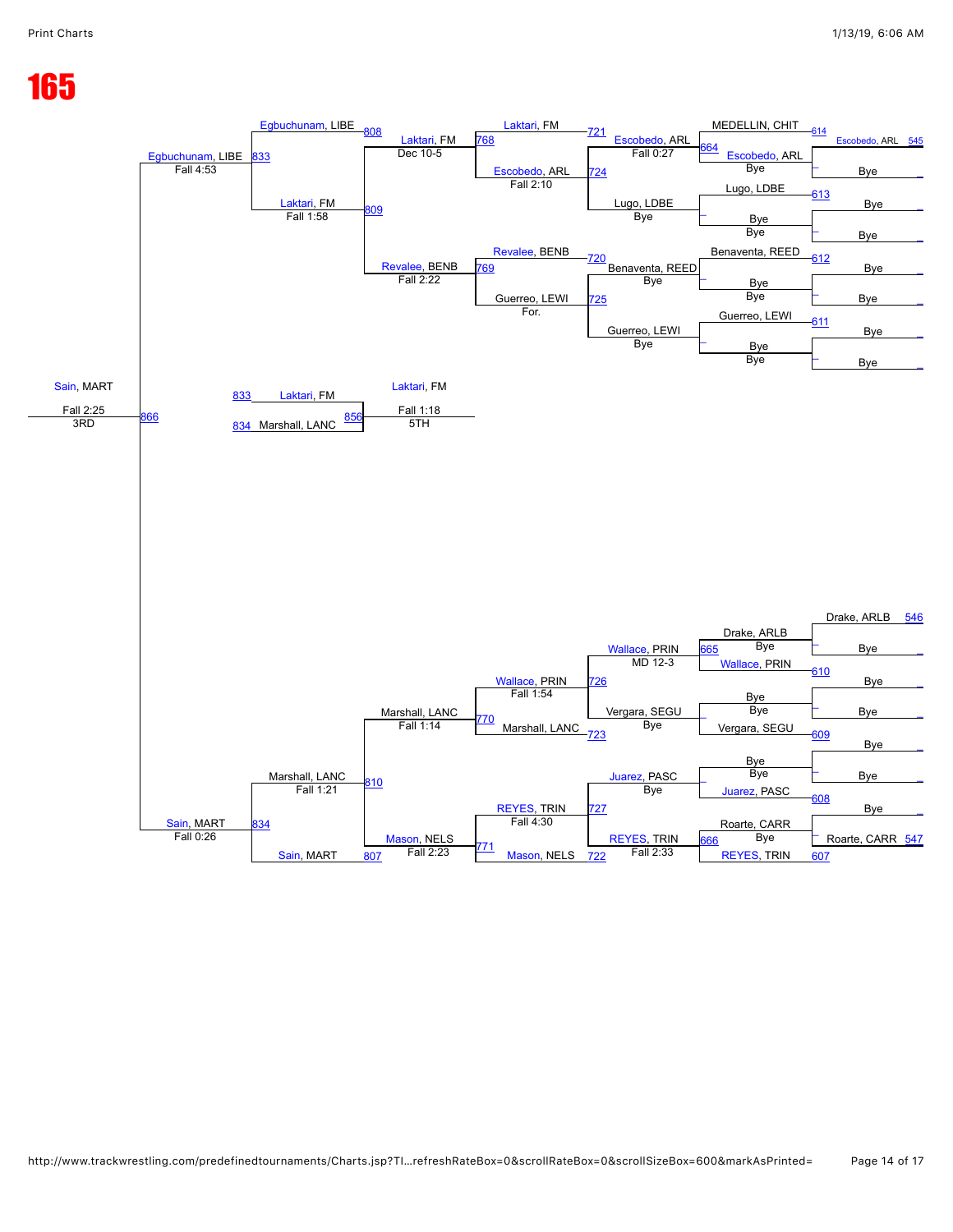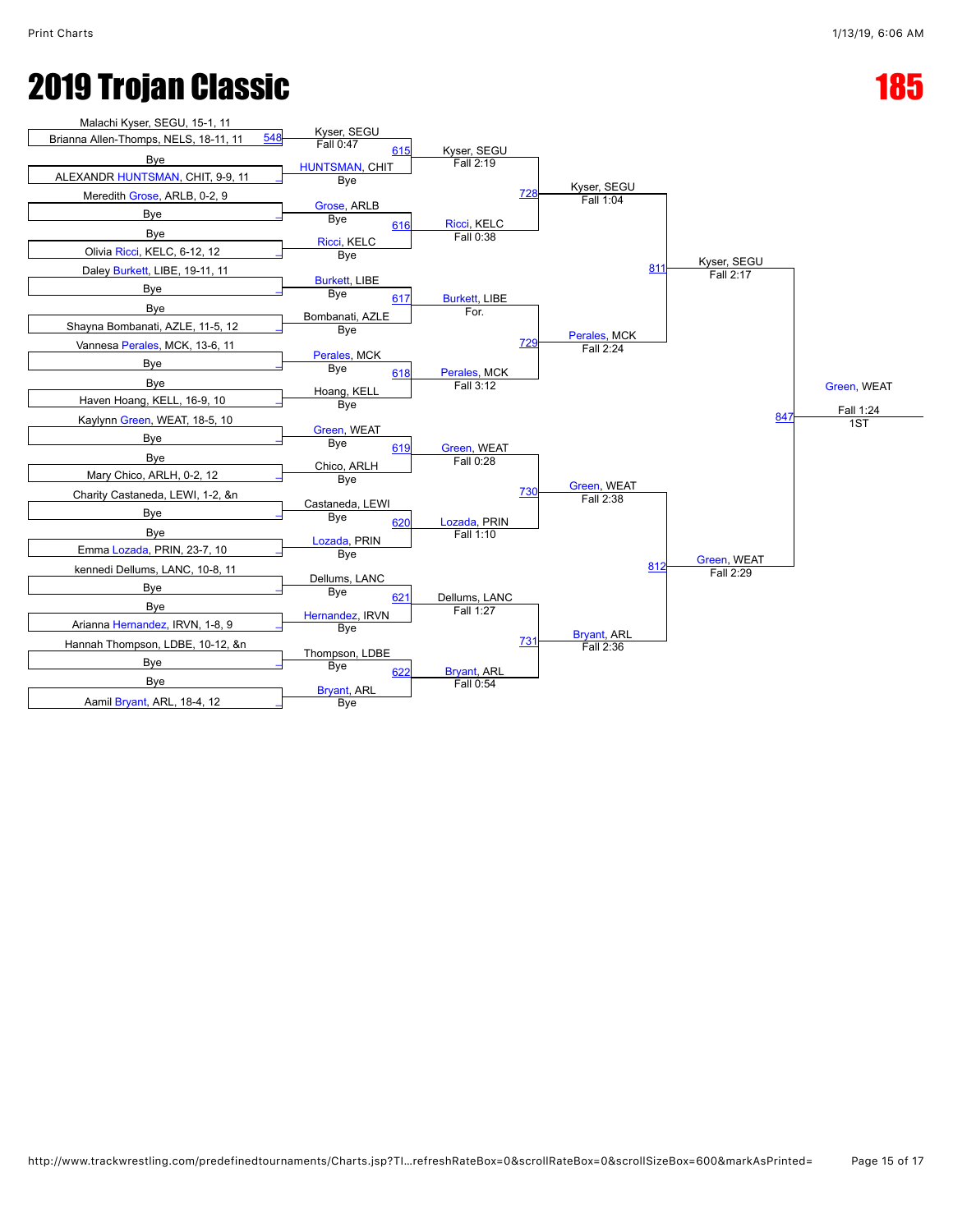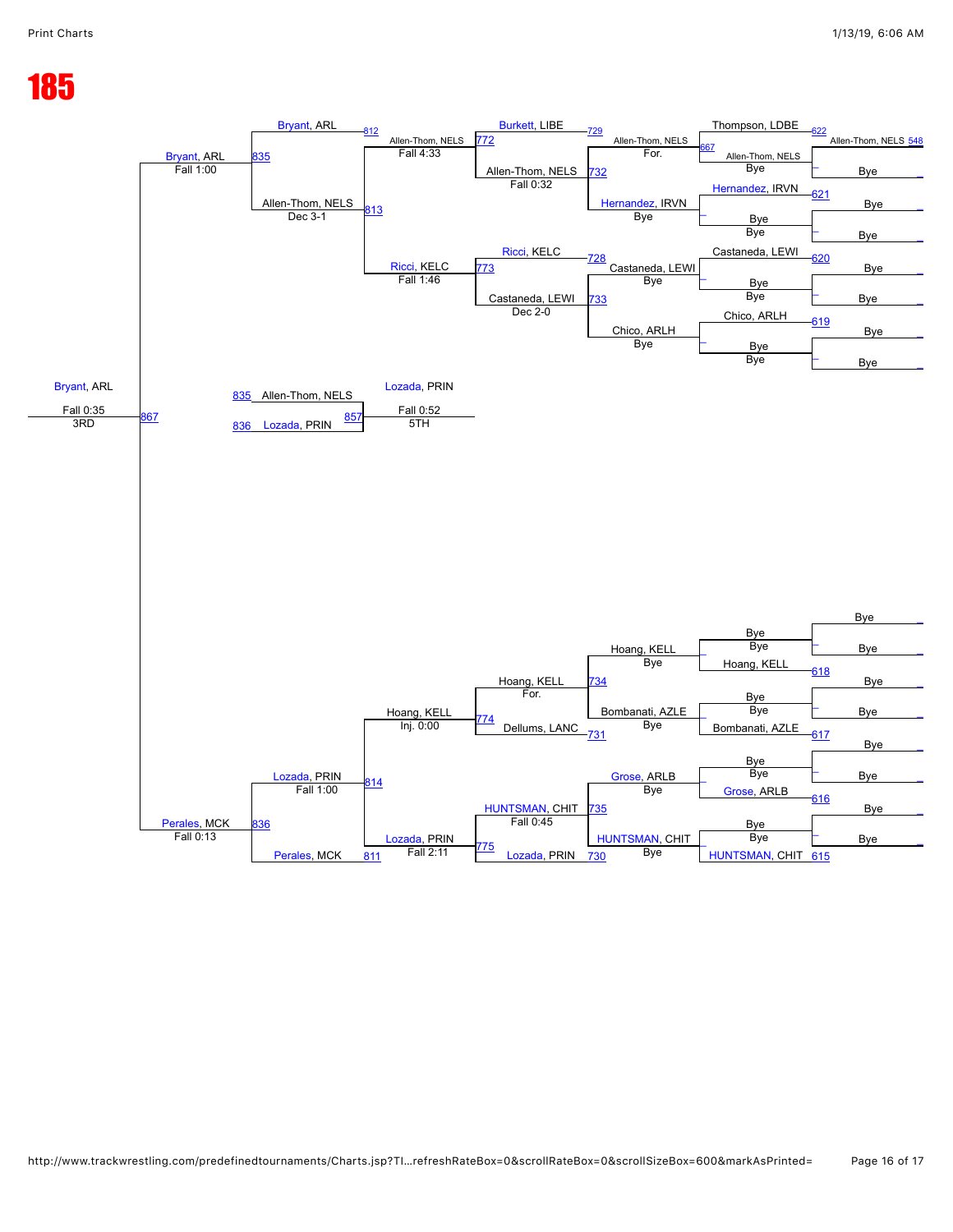